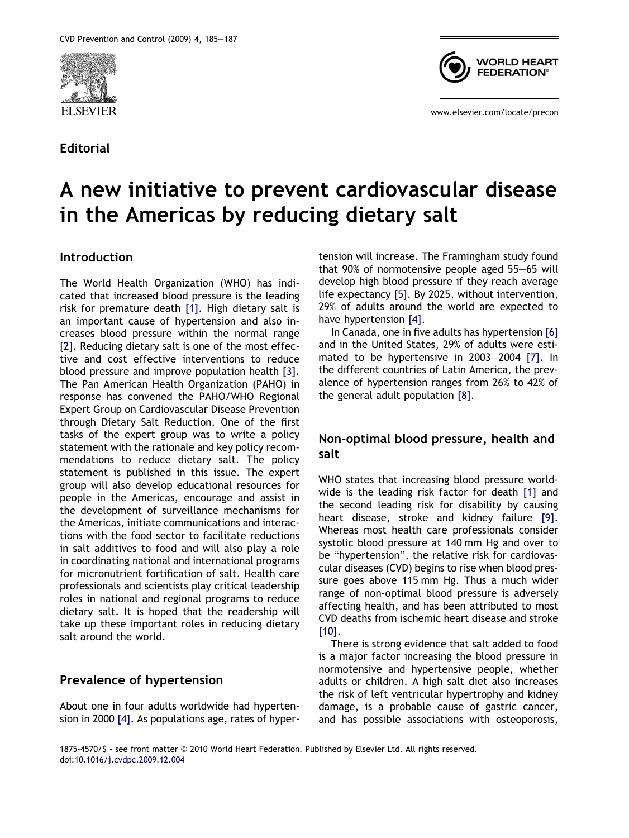

Editorial



www.elsevier.com/locate/precon

# A new initiative to prevent cardiovascular disease in the Americas by reducing dietary salt

### Introduction

The World Health Organization (WHO) has indicated that increased blood pressure is the leading risk for premature death [\[1\]](#page-2-0). High dietary salt is an important cause of hypertension and also increases blood pressure within the normal range [\[2\]](#page-2-0). Reducing dietary salt is one of the most effective and cost effective interventions to reduce blood pressure and improve population health [\[3\]](#page-2-0). The Pan American Health Organization (PAHO) in response has convened the PAHO/WHO Regional Expert Group on Cardiovascular Disease Prevention through Dietary Salt Reduction. One of the first tasks of the expert group was to write a policy statement with the rationale and key policy recommendations to reduce dietary salt. The policy statement is published in this issue. The expert group will also develop educational resources for people in the Americas, encourage and assist in the development of surveillance mechanisms for the Americas, initiate communications and interactions with the food sector to facilitate reductions in salt additives to food and will also play a role in coordinating national and international programs for micronutrient fortification of salt. Health care professionals and scientists play critical leadership roles in national and regional programs to reduce dietary salt. It is hoped that the readership will take up these important roles in reducing dietary salt around the world.

### Prevalence of hypertension

About one in four adults worldwide had hypertension in 2000 [\[4\].](#page-2-0) As populations age, rates of hypertension will increase. The Framingham study found that 90% of normotensive people aged 55–65 will develop high blood pressure if they reach average life expectancy [\[5\].](#page-2-0) By 2025, without intervention, 29% of adults around the world are expected to have hypertension [\[4\]](#page-2-0).

In Canada, one in five adults has hypertension [\[6\]](#page-2-0) and in the United States, 29% of adults were estimated to be hypertensive in 2003–2004 [\[7\]](#page-2-0). In the different countries of Latin America, the prevalence of hypertension ranges from 26% to 42% of the general adult population [\[8\].](#page-2-0)

## Non-optimal blood pressure, health and salt

WHO states that increasing blood pressure worldwide is the leading risk factor for death [\[1\]](#page-2-0) and the second leading risk for disability by causing heart disease, stroke and kidney failure [\[9\]](#page-2-0). Whereas most health care professionals consider systolic blood pressure at 140 mm Hg and over to be "hypertension", the relative risk for cardiovascular diseases (CVD) begins to rise when blood pressure goes above 115 mm Hg. Thus a much wider range of non-optimal blood pressure is adversely affecting health, and has been attributed to most CVD deaths from ischemic heart disease and stroke [\[10\]](#page-2-0).

There is strong evidence that salt added to food is a major factor increasing the blood pressure in normotensive and hypertensive people, whether adults or children. A high salt diet also increases the risk of left ventricular hypertrophy and kidney damage, is a probable cause of gastric cancer, and has possible associations with osteoporosis,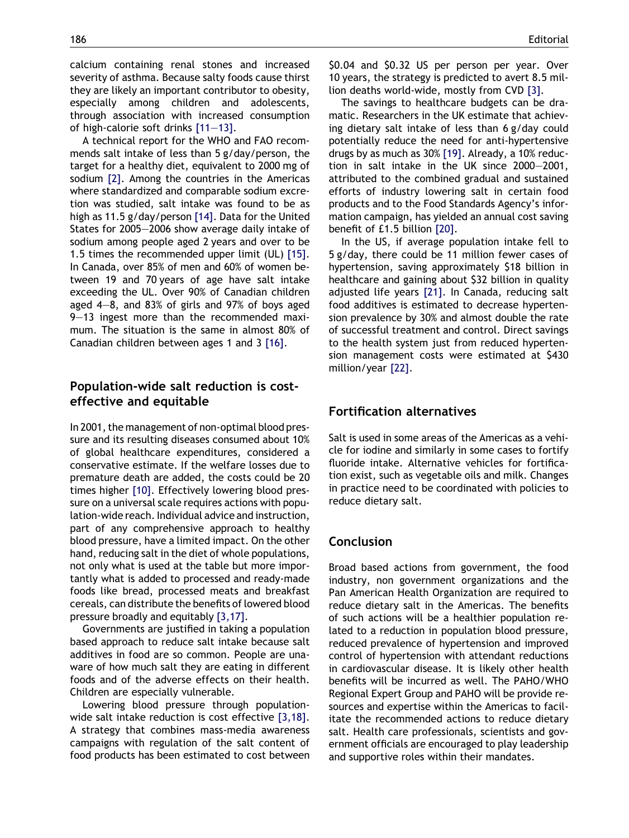calcium containing renal stones and increased severity of asthma. Because salty foods cause thirst they are likely an important contributor to obesity, especially among children and adolescents, through association with increased consumption of high-calorie soft drinks [\[11–13\].](#page-2-0)

A technical report for the WHO and FAO recommends salt intake of less than 5 g/day/person, the target for a healthy diet, equivalent to 2000 mg of sodium [\[2\].](#page-2-0) Among the countries in the Americas where standardized and comparable sodium excretion was studied, salt intake was found to be as high as 11.5 g/day/person [\[14\].](#page-2-0) Data for the United States for 2005–2006 show average daily intake of sodium among people aged 2 years and over to be 1.5 times the recommended upper limit (UL) [\[15\].](#page-2-0) In Canada, over 85% of men and 60% of women between 19 and 70 years of age have salt intake exceeding the UL. Over 90% of Canadian children aged 4–8, and 83% of girls and 97% of boys aged 9–13 ingest more than the recommended maximum. The situation is the same in almost 80% of Canadian children between ages 1 and 3 [\[16\].](#page-2-0)

## Population-wide salt reduction is costeffective and equitable

In 2001, the management of non-optimal blood pressure and its resulting diseases consumed about 10% of global healthcare expenditures, considered a conservative estimate. If the welfare losses due to premature death are added, the costs could be 20 times higher [\[10\]](#page-2-0). Effectively lowering blood pressure on a universal scale requires actions with population-wide reach. Individual advice and instruction, part of any comprehensive approach to healthy blood pressure, have a limited impact. On the other hand, reducing salt in the diet of whole populations, not only what is used at the table but more importantly what is added to processed and ready-made foods like bread, processed meats and breakfast cereals, can distribute the benefits of lowered blood pressure broadly and equitably [\[3,17\].](#page-2-0)

Governments are justified in taking a population based approach to reduce salt intake because salt additives in food are so common. People are unaware of how much salt they are eating in different foods and of the adverse effects on their health. Children are especially vulnerable.

Lowering blood pressure through populationwide salt intake reduction is cost effective [\[3,18\].](#page-2-0) A strategy that combines mass-media awareness campaigns with regulation of the salt content of food products has been estimated to cost between

\$0.04 and \$0.32 US per person per year. Over 10 years, the strategy is predicted to avert 8.5 million deaths world-wide, mostly from CVD [\[3\]](#page-2-0).

The savings to healthcare budgets can be dramatic. Researchers in the UK estimate that achieving dietary salt intake of less than 6 g/day could potentially reduce the need for anti-hypertensive drugs by as much as 30% [\[19\]](#page-2-0). Already, a 10% reduction in salt intake in the UK since 2000–2001, attributed to the combined gradual and sustained efforts of industry lowering salt in certain food products and to the Food Standards Agency's information campaign, has yielded an annual cost saving benefit of £1.5 billion [\[20\]](#page-2-0).

In the US, if average population intake fell to 5 g/day, there could be 11 million fewer cases of hypertension, saving approximately \$18 billion in healthcare and gaining about \$32 billion in quality adjusted life years [\[21\].](#page-2-0) In Canada, reducing salt food additives is estimated to decrease hypertension prevalence by 30% and almost double the rate of successful treatment and control. Direct savings to the health system just from reduced hypertension management costs were estimated at \$430 million/year [\[22\].](#page-2-0)

## Fortification alternatives

Salt is used in some areas of the Americas as a vehicle for iodine and similarly in some cases to fortify fluoride intake. Alternative vehicles for fortification exist, such as vegetable oils and milk. Changes in practice need to be coordinated with policies to reduce dietary salt.

### Conclusion

Broad based actions from government, the food industry, non government organizations and the Pan American Health Organization are required to reduce dietary salt in the Americas. The benefits of such actions will be a healthier population related to a reduction in population blood pressure, reduced prevalence of hypertension and improved control of hypertension with attendant reductions in cardiovascular disease. It is likely other health benefits will be incurred as well. The PAHO/WHO Regional Expert Group and PAHO will be provide resources and expertise within the Americas to facilitate the recommended actions to reduce dietary salt. Health care professionals, scientists and government officials are encouraged to play leadership and supportive roles within their mandates.